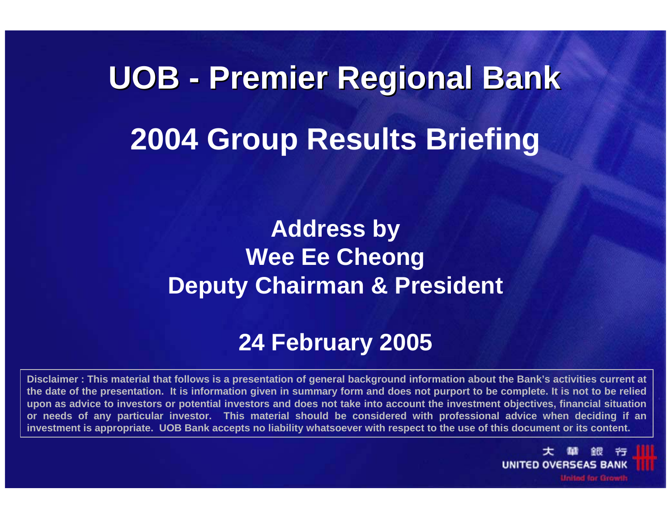# **UOB - Premier Regional Bank Premier Regional Bank 2004 Group Results Briefing**

## **Address by Wee Ee Cheong Deputy Chairman & President**

#### **24 February 2005**

**Disclaimer : This material that follows is a presentation of general background information about the Bank's activities current at the date of the presentation. It is information given in summary form and does not purport to be complete. It is not to be relied upon as advice to investors or potential investors and does not take into account the investment objectives, financial situation or needs of any particular investor. This material should be considered with professional advice when deciding if an investment is appropriate. UOB Bank accepts no liability whatsoever with respect to the use of this document or its content.**

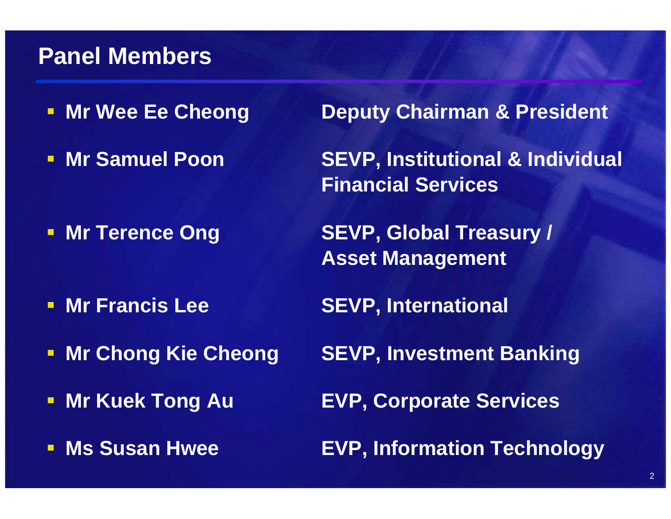#### **Panel Members**

- **Mr Wee Ee Cheong**
- **Mr Samuel Poon**

**- Mr Terence Ong** 

- **Mr Francis Lee**
- $\blacksquare$
- $\blacksquare$
- $\blacksquare$ **Ms Susan Hwee**

**Deputy Chairman & President** 

 **SEVP, Institutional & Individual Financial Services**

**SEVP, Global Treasury / Asset Management**

**SEVP, International**

**Mr Chong Kie Cheong SEVP, Investment Banking**

**Mr Kuek Tong Au EVP, Corporate Services** 

**EVP, Information Technology**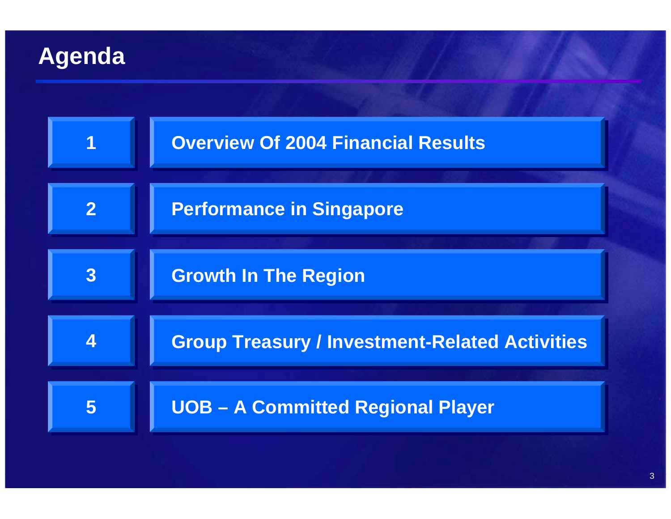## **Agenda**

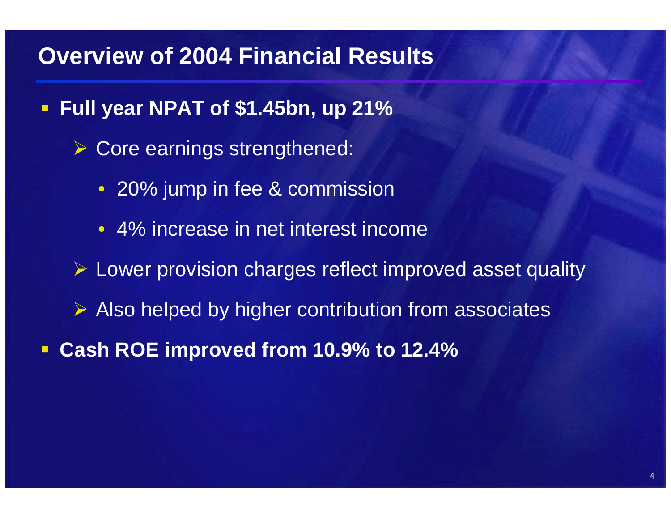#### **Overview of 2004 Financial Results**

- $\blacksquare$  **Full year NPAT of \$1.45bn, up 21%**
	- ¾ Core earnings strengthened:
		- 20% jump in fee & commission
		- 4% increase in net interest income
	- ¾ Lower provision charges reflect improved asset quality
	- ¾ Also helped by higher contribution from associates
- $\blacksquare$ **Cash ROE improved from 10.9% to 12.4%**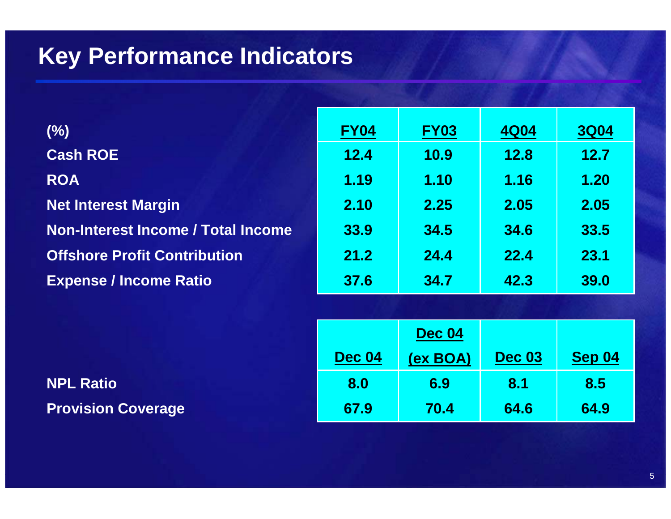### **Key Performance Indicators**

| $(\%)$                                    | <b>FY04</b> | <b>FY03</b> | <b>4Q04</b> | <b>3Q04</b> |
|-------------------------------------------|-------------|-------------|-------------|-------------|
| <b>Cash ROE</b>                           | 12.4        | <b>10.9</b> | <b>12.8</b> | 12.7        |
| <b>ROA</b>                                | 1.19        | 1.10        | 1.16        | 1.20        |
| <b>Net Interest Margin</b>                | 2.10        | 2.25        | 2.05        | 2.05        |
| <b>Non-Interest Income / Total Income</b> | 33.9        | 34.5        | 34.6        | 33.5        |
| <b>Offshore Profit Contribution</b>       | 21.2        | 24.4        | 22.4        | 23.1        |
| <b>Expense / Income Ratio</b>             | 37.6        | 34.7        | 42.3        | 39.0        |

|                           |               | <b>Dec 04</b> |               |               |
|---------------------------|---------------|---------------|---------------|---------------|
|                           | <b>Dec 04</b> | (ex BOA)      | <b>Dec 03</b> | <b>Sep 04</b> |
| <b>NPL Ratio</b>          | 8.0           | 6.9           | 8.1           | 8.5           |
| <b>Provision Coverage</b> | 67.9          | 70.4          | 64.6          | 64.9          |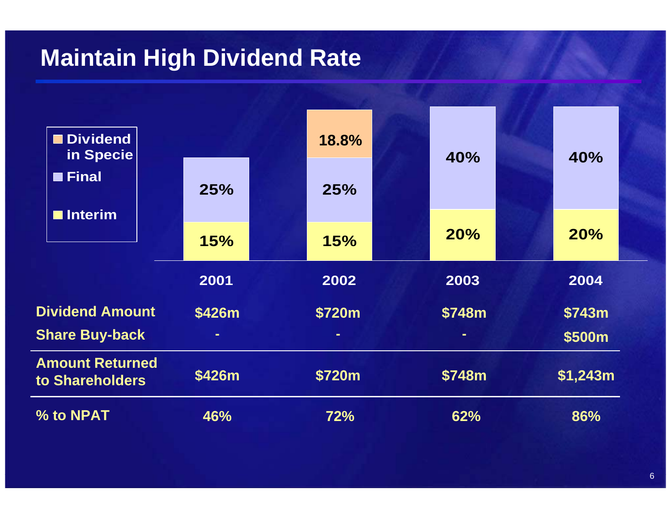### **Maintain High Dividend Rate**

| <b>Dividend</b><br>in Specie              |        | 18.8%  | 40%            | 40%        |
|-------------------------------------------|--------|--------|----------------|------------|
| <b>E</b> Final                            | 25%    | 25%    |                |            |
| <b>Interim</b>                            | 15%    | 15%    | 20%            | <b>20%</b> |
|                                           | 2001   | 2002   | 2003           | 2004       |
| <b>Dividend Amount</b>                    | \$426m | \$720m | \$748m         | \$743m     |
| <b>Share Buy-back</b>                     | $\sim$ | $\sim$ | $\blacksquare$ | \$500m     |
| <b>Amount Returned</b><br>to Shareholders | \$426m | \$720m | \$748m         | \$1,243m   |
| % to NPAT                                 | 46%    | 72%    | 62%            | 86%        |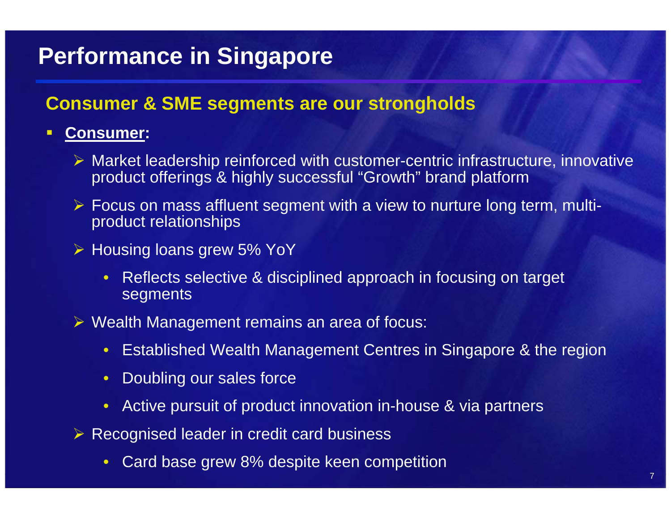## **Performance in Singapore**

#### **Consumer & SME segments are our strongholds**

#### $\blacksquare$ **Consumer:**

- $\triangleright$  Market leadership reinforced with customer-centric infrastructure, innovative product offerings & highly successful "Growth" brand platfor m
- ¾ Focus on mass affluent segment with a view to nurture long term, multiproduct relationships
- ¾ Housing loans grew 5% YoY
	- Reflects selective & disciplined approach in focusing on target **segments**
- ¾ Wealth Management remains an area of focus:
	- Established Wealth Management Centres in Singapore & the region
	- $\bullet$ Doubling our sales force
	- Active pursuit of product innovation in-house & via partners
- $\triangleright$  Recognised leader in credit card business
	- $\bullet$ Card base grew 8% despite keen competition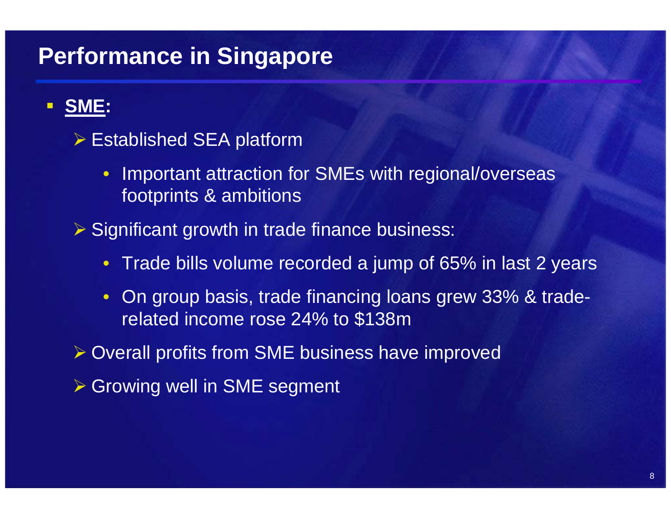# **Performance in Singapore**

#### $\blacksquare$ **SME:**

#### $\triangleright$  Established SEA platform

- $\bullet$  Important attraction for SMEs with regional/overseas footprints & ambitions
- ¾ Significant growth in trade finance business:
	- Trade bills volume recorded a jump of 65% in last 2 years
	- On group basis, trade financing loans grew 33% & traderelated income rose 24% to \$138m

¾ Overall profits from SME business have improved

**≻ Growing well in SME segment**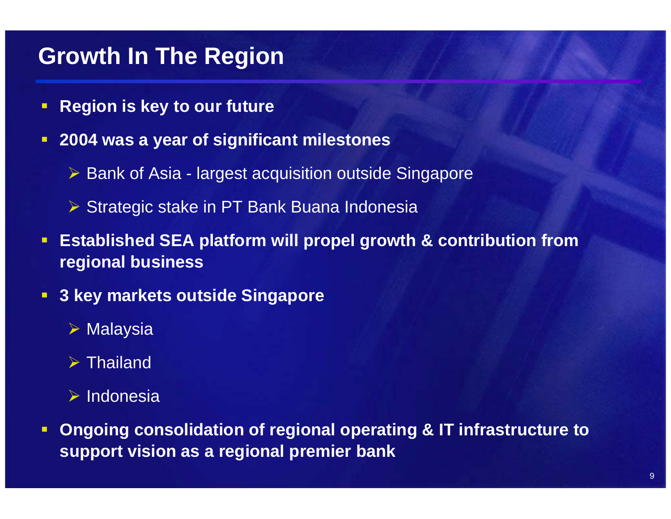#### **Growth In The Region**

- $\blacksquare$ **Region is key to our future**
- $\blacksquare$  **2004 was a year of significant milestones**
	- ¾ Bank of Asia largest acquisition outside Singapore
	- ¾ Strategic stake in PT Bank Buana Indonesia
- $\Box$  **Established SEA platform will propel growth & contribution from regional business**
- $\blacksquare$  **3 key markets outside Singap ore**
	- ¾ Malaysia
	- $\triangleright$  Thailand
	- ¾ Indonesia
- $\blacksquare$  **Ongoing consolidation of regional operating & IT infrastructure to support vision as a regional premier bank**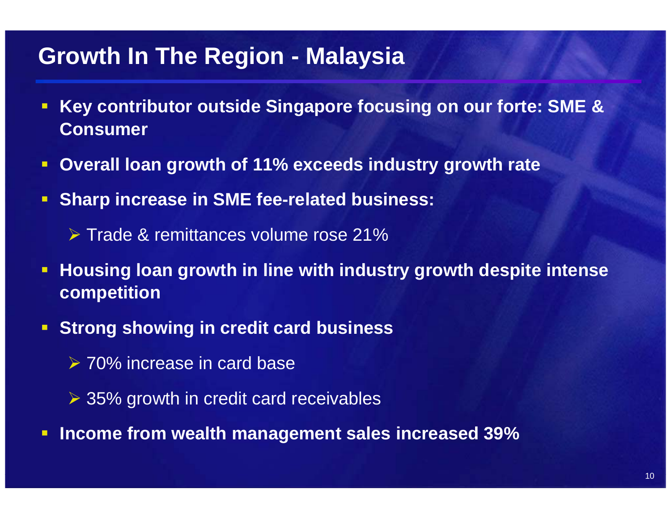#### **Growth In The Region - Malaysia**

- $\blacksquare$  **Key contributor outside Singapore focusing on our forte: SME & Consumer**
- $\blacksquare$ **E** Overall loan growth of 11% exceeds industry growth rate
- $\blacksquare$  **Sharp increase in SME fee-related business:**
	- ¾ Trade & remittances volume rose 21%
- $\blacksquare$ **• Housing loan growth in line with industry growth despite intense competition**
- Ŧ **E** Strong showing in credit card business
	- **► 70% increase in card base**
	- **► 35% growth in credit card receivables**
- $\blacksquare$ **Income from wealth management sales increased 39%**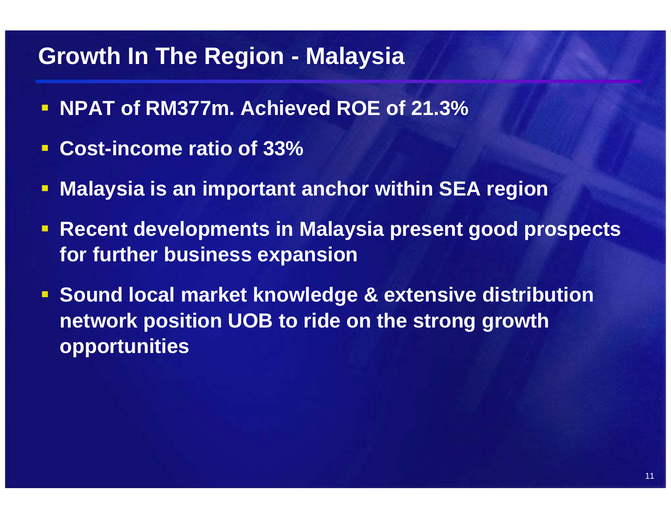#### **Growth In The Region - Malaysia**

- **NPAT of RM377m. Achieved ROE of 21.3%**
- $\Box$ **Cost-income ratio of 33%**
- $\Box$ **Malaysia is an important anchor within SEA region**
- $\blacksquare$  **Recent developments in Malaysia present good prospects for further business expansion**
- **Sound local market knowledge & extensive distribution network position UOB to ride on the strong growth opportunities**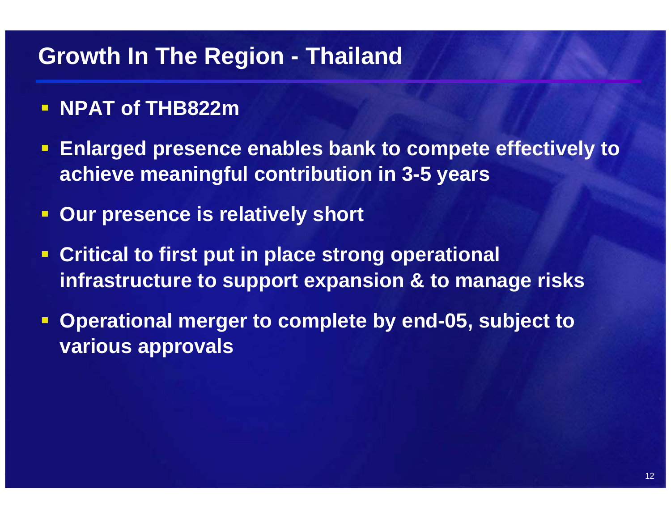#### **Growth In The Region - Thailand**

- **NPAT of THB822m**
- $\blacksquare$  **Enlarged presence enables bank to compete effectively to achieve meaningful contribution in 3-5 years**
- $\Box$ **Our presence is relatively short**
- $\Box$  **Critical to first put in place strong operational infrastructure to support expansion & to manage risks**
- **Operational merger to complete by end-05, subject to various approvals**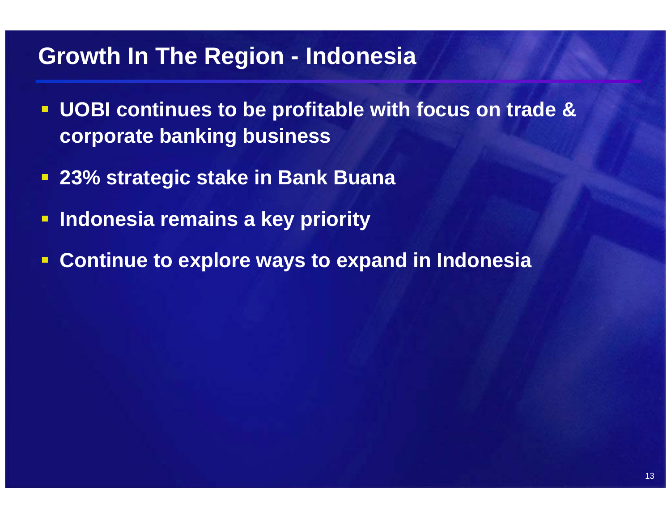#### **Growth In The Region - Indonesia**

- $\blacksquare$  **UOBI continues to be profitable with focus on trade & corporate banking business**
- **23% strategic stake in Bank Buana**
- **Indonesia remains a key priority**
- $\blacksquare$ **Continue to explore ways to expand in Indonesia**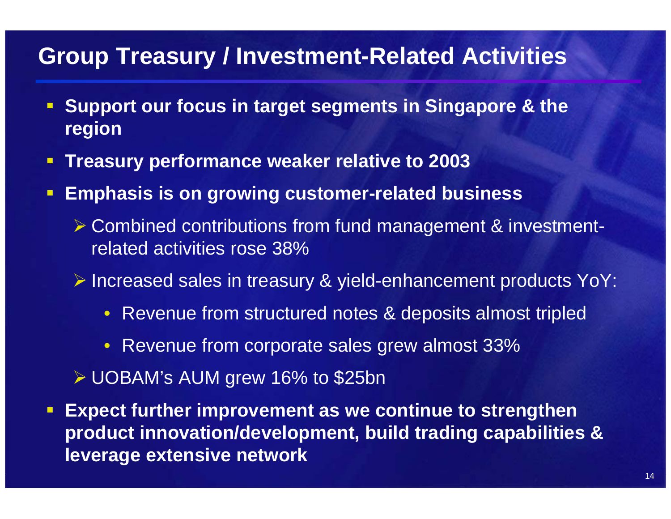#### **Group Treasury / Investment-Related Activities**

- $\blacksquare$  **Support our focus in target segments in Singapore & the region**
- **Treasury performance weaker relative to 2003**
- $\blacksquare$  . **Emphasis is on growing customer-related business**
	- ¾ Combined contributions from fund management & investmentrelated activities rose 38%
	- ¾ Increased sales in treasury & yield-enhancement products YoY:
		- Revenue from structured notes & deposits almost tripled
		- Revenue from corporate sales grew almost 33%
	- ¾ UOBAM's AUM grew 16% to \$25bn
- $\blacksquare$  **Expect further improvement as we continue to strengthen product innovation/development, build trading capabilities & leverage extensive network**